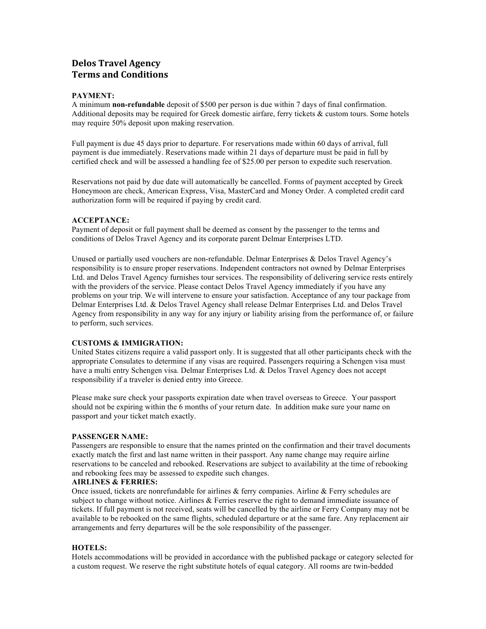# **Delos Travel Agency Terms and Conditions**

# **PAYMENT:**

A minimum **non-refundable** deposit of \$500 per person is due within 7 days of final confirmation. Additional deposits may be required for Greek domestic airfare, ferry tickets & custom tours. Some hotels may require 50% deposit upon making reservation.

Full payment is due 45 days prior to departure. For reservations made within 60 days of arrival, full payment is due immediately. Reservations made within 21 days of departure must be paid in full by certified check and will be assessed a handling fee of \$25.00 per person to expedite such reservation.

Reservations not paid by due date will automatically be cancelled. Forms of payment accepted by Greek Honeymoon are check, American Express, Visa, MasterCard and Money Order. A completed credit card authorization form will be required if paying by credit card.

# **ACCEPTANCE:**

Payment of deposit or full payment shall be deemed as consent by the passenger to the terms and conditions of Delos Travel Agency and its corporate parent Delmar Enterprises LTD.

Unused or partially used vouchers are non-refundable. Delmar Enterprises & Delos Travel Agency's responsibility is to ensure proper reservations. Independent contractors not owned by Delmar Enterprises Ltd. and Delos Travel Agency furnishes tour services. The responsibility of delivering service rests entirely with the providers of the service. Please contact Delos Travel Agency immediately if you have any problems on your trip. We will intervene to ensure your satisfaction. Acceptance of any tour package from Delmar Enterprises Ltd. & Delos Travel Agency shall release Delmar Enterprises Ltd. and Delos Travel Agency from responsibility in any way for any injury or liability arising from the performance of, or failure to perform, such services.

# **CUSTOMS & IMMIGRATION:**

United States citizens require a valid passport only. It is suggested that all other participants check with the appropriate Consulates to determine if any visas are required. Passengers requiring a Schengen visa must have a multi entry Schengen visa. Delmar Enterprises Ltd. & Delos Travel Agency does not accept responsibility if a traveler is denied entry into Greece.

Please make sure check your passports expiration date when travel overseas to Greece. Your passport should not be expiring within the 6 months of your return date. In addition make sure your name on passport and your ticket match exactly.

#### **PASSENGER NAME:**

Passengers are responsible to ensure that the names printed on the confirmation and their travel documents exactly match the first and last name written in their passport. Any name change may require airline reservations to be canceled and rebooked. Reservations are subject to availability at the time of rebooking and rebooking fees may be assessed to expedite such changes.

#### **AIRLINES & FERRIES:**

Once issued, tickets are nonrefundable for airlines  $\&$  ferry companies. Airline  $\&$  Ferry schedules are subject to change without notice. Airlines & Ferries reserve the right to demand immediate issuance of tickets. If full payment is not received, seats will be cancelled by the airline or Ferry Company may not be available to be rebooked on the same flights, scheduled departure or at the same fare. Any replacement air arrangements and ferry departures will be the sole responsibility of the passenger.

#### **HOTELS:**

Hotels accommodations will be provided in accordance with the published package or category selected for a custom request. We reserve the right substitute hotels of equal category. All rooms are twin-bedded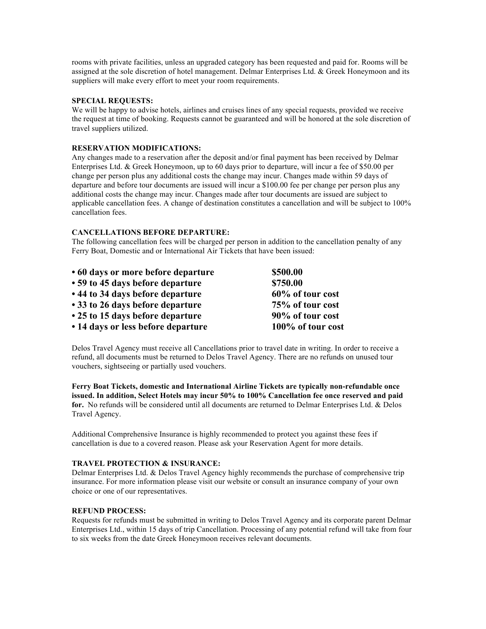rooms with private facilities, unless an upgraded category has been requested and paid for. Rooms will be assigned at the sole discretion of hotel management. Delmar Enterprises Ltd. & Greek Honeymoon and its suppliers will make every effort to meet your room requirements.

# **SPECIAL REQUESTS:**

We will be happy to advise hotels, airlines and cruises lines of any special requests, provided we receive the request at time of booking. Requests cannot be guaranteed and will be honored at the sole discretion of travel suppliers utilized.

# **RESERVATION MODIFICATIONS:**

Any changes made to a reservation after the deposit and/or final payment has been received by Delmar Enterprises Ltd. & Greek Honeymoon, up to 60 days prior to departure, will incur a fee of \$50.00 per change per person plus any additional costs the change may incur. Changes made within 59 days of departure and before tour documents are issued will incur a \$100.00 fee per change per person plus any additional costs the change may incur. Changes made after tour documents are issued are subject to applicable cancellation fees. A change of destination constitutes a cancellation and will be subject to 100% cancellation fees.

# **CANCELLATIONS BEFORE DEPARTURE:**

The following cancellation fees will be charged per person in addition to the cancellation penalty of any Ferry Boat, Domestic and or International Air Tickets that have been issued:

| • 60 days or more before departure | \$500.00          |
|------------------------------------|-------------------|
| • 59 to 45 days before departure   | \$750.00          |
| • 44 to 34 days before departure   | 60% of tour cost  |
| • 33 to 26 days before departure   | 75% of tour cost  |
| • 25 to 15 days before departure   | 90% of tour cost  |
| • 14 days or less before departure | 100% of tour cost |

Delos Travel Agency must receive all Cancellations prior to travel date in writing. In order to receive a refund, all documents must be returned to Delos Travel Agency. There are no refunds on unused tour vouchers, sightseeing or partially used vouchers.

**Ferry Boat Tickets, domestic and International Airline Tickets are typically non-refundable once issued. In addition, Select Hotels may incur 50% to 100% Cancellation fee once reserved and paid for.** No refunds will be considered until all documents are returned to Delmar Enterprises Ltd. & Delos Travel Agency.

Additional Comprehensive Insurance is highly recommended to protect you against these fees if cancellation is due to a covered reason. Please ask your Reservation Agent for more details.

# **TRAVEL PROTECTION & INSURANCE:**

Delmar Enterprises Ltd. & Delos Travel Agency highly recommends the purchase of comprehensive trip insurance. For more information please visit our website or consult an insurance company of your own choice or one of our representatives.

## **REFUND PROCESS:**

Requests for refunds must be submitted in writing to Delos Travel Agency and its corporate parent Delmar Enterprises Ltd., within 15 days of trip Cancellation. Processing of any potential refund will take from four to six weeks from the date Greek Honeymoon receives relevant documents.